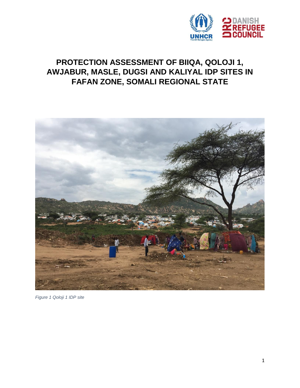

# **PROTECTION ASSESSMENT OF BIIQA, QOLOJI 1, AWJABUR, MASLE, DUGSI AND KALIYAL IDP SITES IN FAFAN ZONE, SOMALI REGIONAL STATE**



*Figure 1 Qoloji 1 IDP site*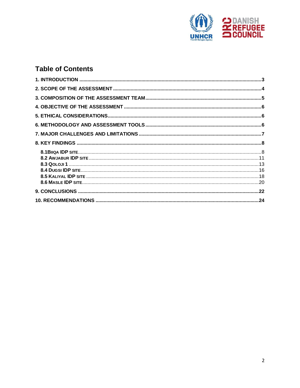

# **Table of Contents**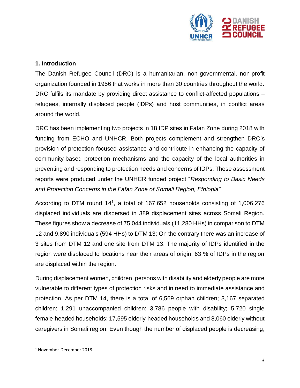

# <span id="page-2-0"></span>**1. Introduction**

The Danish Refugee Council (DRC) is a humanitarian, non-governmental, non-profit organization founded in 1956 that works in more than 30 countries throughout the world. DRC fulfils its mandate by providing direct assistance to conflict-affected populations – refugees, internally displaced people (IDPs) and host communities, in conflict areas around the world.

DRC has been implementing two projects in 18 IDP sites in Fafan Zone during 2018 with funding from ECHO and UNHCR. Both projects complement and strengthen DRC's provision of protection focused assistance and contribute in enhancing the capacity of community-based protection mechanisms and the capacity of the local authorities in preventing and responding to protection needs and concerns of IDPs. These assessment reports were produced under the UNHCR funded project "*Responding to Basic Needs and Protection Concerns in the Fafan Zone of Somali Region, Ethiopia"*

According to DTM round 14<sup>1</sup> , a total of 167,652 households consisting of 1,006,276 displaced individuals are dispersed in 389 displacement sites across Somali Region. These figures show a decrease of 75,044 individuals (11,280 HHs) in comparison to DTM 12 and 9,890 individuals (594 HHs) to DTM 13; On the contrary there was an increase of 3 sites from DTM 12 and one site from DTM 13. The majority of IDPs identified in the region were displaced to locations near their areas of origin. 63 % of IDPs in the region are displaced within the region.

During displacement women, children, persons with disability and elderly people are more vulnerable to different types of protection risks and in need to immediate assistance and protection. As per DTM 14, there is a total of 6,569 orphan children; 3,167 separated children; 1,291 unaccompanied children; 3,786 people with disability; 5,720 single female-headed households; 17,595 elderly-headed households and 8,060 elderly without caregivers in Somali region. Even though the number of displaced people is decreasing,

l

<sup>1</sup> November-December 2018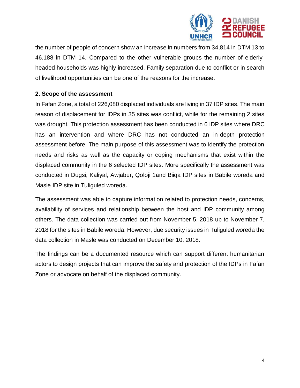

the number of people of concern show an increase in numbers from 34,814 in DTM 13 to 46,188 in DTM 14. Compared to the other vulnerable groups the number of elderlyheaded households was highly increased. Family separation due to conflict or in search of livelihood opportunities can be one of the reasons for the increase.

# <span id="page-3-0"></span>**2. Scope of the assessment**

In Fafan Zone, a total of 226,080 displaced individuals are living in 37 IDP sites. The main reason of displacement for IDPs in 35 sites was conflict, while for the remaining 2 sites was drought. This protection assessment has been conducted in 6 IDP sites where DRC has an intervention and where DRC has not conducted an in-depth protection assessment before. The main purpose of this assessment was to identify the protection needs and risks as well as the capacity or coping mechanisms that exist within the displaced community in the 6 selected IDP sites. More specifically the assessment was conducted in Dugsi, Kaliyal, Awjabur, Qoloji 1and Biiqa IDP sites in Babile woreda and Masle IDP site in Tuliguled woreda.

The assessment was able to capture information related to protection needs, concerns, availability of services and relationship between the host and IDP community among others. The data collection was carried out from November 5, 2018 up to November 7, 2018 for the sites in Babile woreda. However, due security issues in Tuliguled woreda the data collection in Masle was conducted on December 10, 2018.

The findings can be a documented resource which can support different humanitarian actors to design projects that can improve the safety and protection of the IDPs in Fafan Zone or advocate on behalf of the displaced community.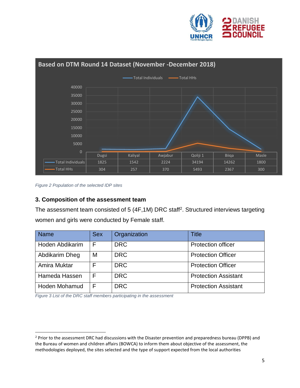



*Figure 2 Population of the selected IDP sites*

 $\overline{a}$ 

# <span id="page-4-0"></span>**3. Composition of the assessment team**

The assessment team consisted of 5 (4F,1M) DRC staff<sup>2</sup>. Structured interviews targeting women and girls were conducted by Female staff.

| <b>Name</b>          | <b>Sex</b> | Organization | <b>Title</b>                |
|----------------------|------------|--------------|-----------------------------|
| Hoden Abdikarim      |            | <b>DRC</b>   | <b>Protection officer</b>   |
| Abdikarim Dheg       | M          | <b>DRC</b>   | <b>Protection Officer</b>   |
| Amira Muktar         |            | <b>DRC</b>   | <b>Protection Officer</b>   |
| Hameda Hassen        |            | <b>DRC</b>   | <b>Protection Assistant</b> |
| <b>Hoden Mohamud</b> |            | <b>DRC</b>   | <b>Protection Assistant</b> |

*Figure 3 List of the DRC staff members participating in the assessment*

<sup>&</sup>lt;sup>2</sup> Prior to the assessment DRC had discussions with the Disaster prevention and preparedness bureau (DPPB) and the Bureau of women and children affairs (BOWCA) to inform them about objective of the assessment, the methodologies deployed, the sites selected and the type of support expected from the local authorities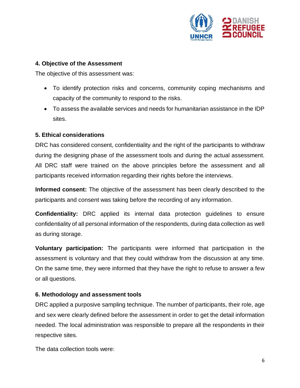

#### <span id="page-5-0"></span>**4. Objective of the Assessment**

The objective of this assessment was:

- To identify protection risks and concerns, community coping mechanisms and capacity of the community to respond to the risks.
- To assess the available services and needs for humanitarian assistance in the IDP sites.

# <span id="page-5-1"></span>**5. Ethical considerations**

DRC has considered consent, confidentiality and the right of the participants to withdraw during the designing phase of the assessment tools and during the actual assessment. All DRC staff were trained on the above principles before the assessment and all participants received information regarding their rights before the interviews.

**Informed consent:** The objective of the assessment has been clearly described to the participants and consent was taking before the recording of any information.

**Confidentiality:** DRC applied its internal data protection guidelines to ensure confidentiality of all personal information of the respondents, during data collection as well as during storage.

**Voluntary participation:** The participants were informed that participation in the assessment is voluntary and that they could withdraw from the discussion at any time. On the same time, they were informed that they have the right to refuse to answer a few or all questions.

# <span id="page-5-2"></span>**6. Methodology and assessment tools**

DRC applied a purposive sampling technique. The number of participants, their role, age and sex were clearly defined before the assessment in order to get the detail information needed. The local administration was responsible to prepare all the respondents in their respective sites.

The data collection tools were: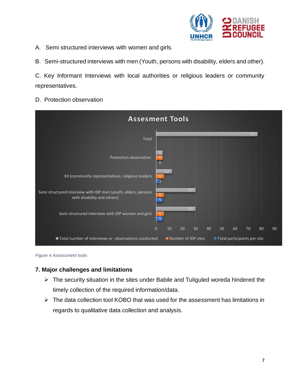

A. Semi structured interviews with women and girls.

B. Semi-structured interviews with men (Youth, persons with disability, elders and other).

C. Key Informant Interviews with local authorities or religious leaders or community representatives.

D. Protection observation





# <span id="page-6-0"></span>**7. Major challenges and limitations**

- $\triangleright$  The security situation in the sites under Babile and Tuliguled woreda hindered the timely collection of the required information/data.
- <span id="page-6-1"></span> $\triangleright$  The data collection tool KOBO that was used for the assessment has limitations in regards to qualitative data collection and analysis.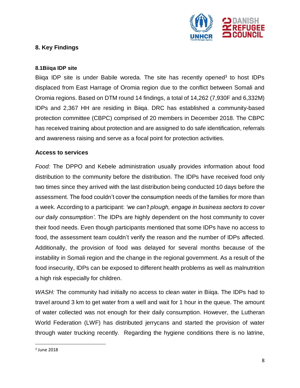

# **8. Key Findings**

#### <span id="page-7-0"></span>**8.1Biiqa IDP site**

Biiqa IDP site is under Babile woreda. The site has recently opened<sup>3</sup> to host IDPs displaced from East Harrage of Oromia region due to the conflict between Somali and Oromia regions. Based on DTM round 14 findings, a total of 14,262 (7,930F and 6,332M) IDPs and 2,367 HH are residing in Biiqa. DRC has established a community-based protection committee (CBPC) comprised of 20 members in December 2018. The CBPC has received training about protection and are assigned to do safe identification, referrals and awareness raising and serve as a focal point for protection activities.

#### **Access to services**

*Food:* The DPPO and Kebele administration usually provides information about food distribution to the community before the distribution. The IDPs have received food only two times since they arrived with the last distribution being conducted 10 days before the assessment. The food couldn't cover the consumption needs of the families for more than a week. According to a participant: *'we can't plough, engage in business sectors to cover our daily consumption'*. The IDPs are highly dependent on the host community to cover their food needs. Even though participants mentioned that some IDPs have no access to food, the assessment team couldn't verify the reason and the number of IDPs affected. Additionally, the provision of food was delayed for several months because of the instability in Somali region and the change in the regional government. As a result of the food insecurity, IDPs can be exposed to different health problems as well as malnutrition a high risk especially for children.

*WASH:* The community had initially no access to clean water in Biiqa. The IDPs had to travel around 3 km to get water from a well and wait for 1 hour in the queue. The amount of water collected was not enough for their daily consumption. However, the Lutheran World Federation (LWF) has distributed jerrycans and started the provision of water through water trucking recently. Regarding the hygiene conditions there is no latrine,

l

<sup>3</sup> June 2018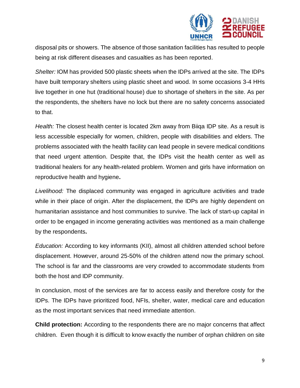

disposal pits or showers. The absence of those sanitation facilities has resulted to people being at risk different diseases and casualties as has been reported.

*Shelter:* IOM has provided 500 plastic sheets when the IDPs arrived at the site. The IDPs have built temporary shelters using plastic sheet and wood. In some occasions 3-4 HHs live together in one hut (traditional house) due to shortage of shelters in the site. As per the respondents, the shelters have no lock but there are no safety concerns associated to that.

*Health:* The closest health center is located 2km away from Biiqa IDP site. As a result is less accessible especially for women, children, people with disabilities and elders. The problems associated with the health facility can lead people in severe medical conditions that need urgent attention. Despite that, the IDPs visit the health center as well as traditional healers for any health-related problem. Women and girls have information on reproductive health and hygiene**.**

*Livelihood:* The displaced community was engaged in agriculture activities and trade while in their place of origin. After the displacement, the IDPs are highly dependent on humanitarian assistance and host communities to survive. The lack of start-up capital in order to be engaged in income generating activities was mentioned as a main challenge by the respondents**.**

*Education:* According to key informants (KII), almost all children attended school before displacement. However, around 25-50% of the children attend now the primary school. The school is far and the classrooms are very crowded to accommodate students from both the host and IDP community.

In conclusion, most of the services are far to access easily and therefore costy for the IDPs. The IDPs have prioritized food, NFIs, shelter, water, medical care and education as the most important services that need immediate attention.

**Child protection:** According to the respondents there are no major concerns that affect children. Even though it is difficult to know exactly the number of orphan children on site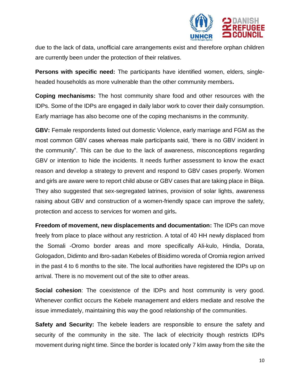

due to the lack of data, unofficial care arrangements exist and therefore orphan children are currently been under the protection of their relatives.

**Persons with specific need:** The participants have identified women, elders, singleheaded households as more vulnerable than the other community members**.**

**Coping mechanisms:** The host community share food and other resources with the IDPs. Some of the IDPs are engaged in daily labor work to cover their daily consumption. Early marriage has also become one of the coping mechanisms in the community.

**GBV:** Female respondents listed out domestic Violence, early marriage and FGM as the most common GBV cases whereas male participants said, 'there is no GBV incident in the community". This can be due to the lack of awareness, misconceptions regarding GBV or intention to hide the incidents. It needs further assessment to know the exact reason and develop a strategy to prevent and respond to GBV cases properly. Women and girls are aware were to report child abuse or GBV cases that are taking place in Biiqa. They also suggested that sex-segregated latrines, provision of solar lights, awareness raising about GBV and construction of a women-friendly space can improve the safety, protection and access to services for women and girls**.** 

**Freedom of movement, new displacements and documentation:** The IDPs can move freely from place to place without any restriction. A total of 40 HH newly displaced from the Somali -Oromo border areas and more specifically Ali-kulo, Hindia, Dorata, Gologadon, Didimto and Ibro-sadan Kebeles of Bisidimo woreda of Oromia region arrived in the past 4 to 6 months to the site. The local authorities have registered the IDPs up on arrival. There is no movement out of the site to other areas.

**Social cohesion**: The coexistence of the IDPs and host community is very good. Whenever conflict occurs the Kebele management and elders mediate and resolve the issue immediately, maintaining this way the good relationship of the communities.

**Safety and Security:** The kebele leaders are responsible to ensure the safety and security of the community in the site. The lack of electricity though restricts IDPs movement during night time. Since the border is located only 7 klm away from the site the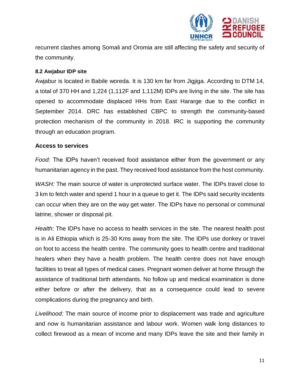

recurrent clashes among Somali and Oromia are still affecting the safety and security of the community.

#### <span id="page-10-0"></span>**8.2 Awjabur IDP site**

Awjabur is located in Babile woreda. It is 130 km far from Jigjiga. According to DTM 14, a total of 370 HH and 1,224 (1,112F and 1,112M) IDPs are living in the site. The site has opened to accommodate displaced HHs from East Hararge due to the conflict in September 2014. DRC has established CBPC to strength the community-based protection mechanism of the community in 2018. IRC is supporting the community through an education program.

# **Access to services**

*Food:* The IDPs haven't received food assistance either from the government or any humanitarian agency in the past. They received food assistance from the host community.

*WASH:* The main source of water is unprotected surface water. The IDPs travel close to 3 km to fetch water and spend 1 hour in a queue to get it. The IDPs said security incidents can occur when they are on the way get water. The IDPs have no personal or communal latrine, shower or disposal pit.

*Health:* The IDPs have no access to health services in the site. The nearest health post is in Ali Ethiopia which is 25-30 Kms away from the site. The IDPs use donkey or travel on foot to access the health centre. The community goes to health centre and traditional healers when they have a health problem. The health centre does not have enough facilities to treat all types of medical cases. Pregnant women deliver at home through the assistance of traditional birth attendants. No follow up and medical examination is done either before or after the delivery, that as a consequence could lead to severe complications during the pregnancy and birth.

*Livelihood:* The main source of income prior to displacement was trade and agriculture and now is humanitarian assistance and labour work. Women walk long distances to collect firewood as a mean of income and many IDPs leave the site and their family in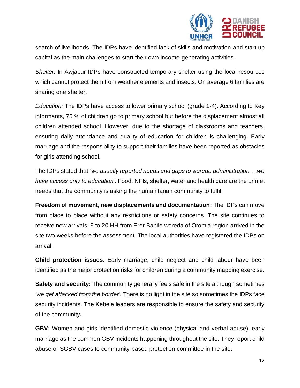

search of livelihoods. The IDPs have identified lack of skills and motivation and start-up capital as the main challenges to start their own income-generating activities.

*Shelter:* In Awjabur IDPs have constructed temporary shelter using the local resources which cannot protect them from weather elements and insects. On average 6 families are sharing one shelter.

*Education:* The IDPs have access to lower primary school (grade 1-4). According to Key informants, 75 % of children go to primary school but before the displacement almost all children attended school. However, due to the shortage of classrooms and teachers, ensuring daily attendance and quality of education for children is challenging. Early marriage and the responsibility to support their families have been reported as obstacles for girls attending school.

The IDPs stated that *'we usually reported needs and gaps to woreda administration …we have access only to education'*. Food, NFIs, shelter, water and health care are the unmet needs that the community is asking the humanitarian community to fulfil.

**Freedom of movement, new displacements and documentation:** The IDPs can move from place to place without any restrictions or safety concerns. The site continues to receive new arrivals; 9 to 20 HH from Erer Babile woreda of Oromia region arrived in the site two weeks before the assessment. The local authorities have registered the IDPs on arrival.

**Child protection issues**: Early marriage, child neglect and child labour have been identified as the major protection risks for children during a community mapping exercise.

**Safety and security:** The community generally feels safe in the site although sometimes *'we get attacked from the border'.* There is no light in the site so sometimes the IDPs face security incidents. The Kebele leaders are responsible to ensure the safety and security of the community**.**

**GBV:** Women and girls identified domestic violence (physical and verbal abuse), early marriage as the common GBV incidents happening throughout the site. They report child abuse or SGBV cases to community-based protection committee in the site.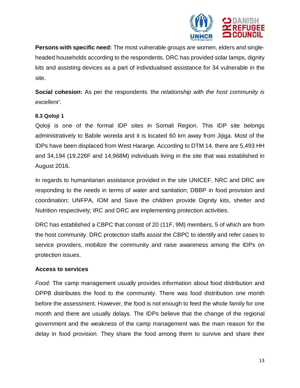

**Persons with specific need:** The most vulnerable groups are women, elders and singleheaded households according to the respondents. DRC has provided solar lamps, dignity kits and assisting devices as a part of individualised assistance for 34 vulnerable in the site.

**Social cohesion:** As per the respondents *'the relationship with the host community is excellent'.*

#### <span id="page-12-0"></span>**8.3 Qoloji 1**

Qoloji is one of the formal IDP sites in Somali Region. This IDP site belongs administratively to Babile woreda and it is located 60 km away from Jijiga. Most of the IDPs have been displaced from West Hararge. According to DTM 14, there are 5,493 HH and 34,194 (19,226F and 14,968M) individuals living in the site that was established in August 2016.

In regards to humanitarian assistance provided in the site UNICEF, NRC and DRC are responding to the needs in terms of water and sanitation; DBBP in food provision and coordination; UNFPA, IOM and Save the children provide Dignity kits, shelter and Nutrition respectively; IRC and DRC are implementing protection activities.

DRC has established a CBPC that consist of 20 (11F, 9M) members, 5 of which are from the host community. DRC protection staffs assist the CBPC to identify and refer cases to service providers, mobilize the community and raise awareness among the IDPs on protection issues.

#### **Access to services**

*Food:* The camp management usually provides information about food distribution and DPPB distributes the food to the community. There was food distribution one month before the assessment. However, the food is not enough to feed the whole family for one month and there are usually delays. The IDPs believe that the change of the regional government and the weakness of the camp management was the main reason for the delay in food provision. They share the food among them to survive and share their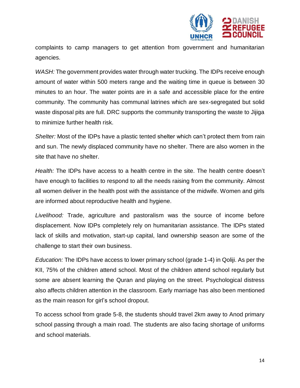

complaints to camp managers to get attention from government and humanitarian agencies.

*WASH:* The government provides water through water trucking. The IDPs receive enough amount of water within 500 meters range and the waiting time in queue is between 30 minutes to an hour. The water points are in a safe and accessible place for the entire community. The community has communal latrines which are sex-segregated but solid waste disposal pits are full. DRC supports the community transporting the waste to Jijiga to minimize further health risk.

*Shelter:* Most of the IDPs have a plastic tented shelter which can't protect them from rain and sun. The newly displaced community have no shelter. There are also women in the site that have no shelter.

*Health:* The IDPs have access to a health centre in the site. The health centre doesn't have enough to facilities to respond to all the needs raising from the community. Almost all women deliver in the health post with the assistance of the midwife. Women and girls are informed about reproductive health and hygiene.

*Livelihood:* Trade, agriculture and pastoralism was the source of income before displacement. Now IDPs completely rely on humanitarian assistance. The IDPs stated lack of skills and motivation, start-up capital, land ownership season are some of the challenge to start their own business.

*Education:* The IDPs have access to lower primary school (grade 1-4) in Qoliji. As per the KII, 75% of the children attend school. Most of the children attend school regularly but some are absent learning the Quran and playing on the street. Psychological distress also affects children attention in the classroom. Early marriage has also been mentioned as the main reason for girl's school dropout.

To access school from grade 5-8, the students should travel 2km away to Anod primary school passing through a main road. The students are also facing shortage of uniforms and school materials.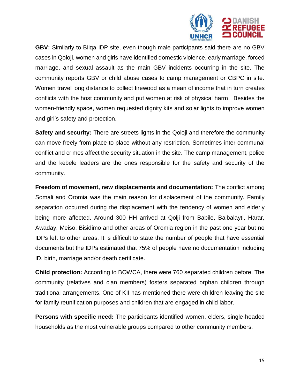

**GBV:** Similarly to Biiqa IDP site, even though male participants said there are no GBV cases in Qoloji, women and girls have identified domestic violence, early marriage, forced marriage, and sexual assault as the main GBV incidents occurring in the site. The community reports GBV or child abuse cases to camp management or CBPC in site. Women travel long distance to collect firewood as a mean of income that in turn creates conflicts with the host community and put women at risk of physical harm. Besides the women-friendly space, women requested dignity kits and solar lights to improve women and girl's safety and protection.

**Safety and security:** There are streets lights in the Qoloji and therefore the community can move freely from place to place without any restriction. Sometimes inter-communal conflict and crimes affect the security situation in the site. The camp management, police and the kebele leaders are the ones responsible for the safety and security of the community.

**Freedom of movement, new displacements and documentation:** The conflict among Somali and Oromia was the main reason for displacement of the community. Family separation occurred during the displacement with the tendency of women and elderly being more affected. Around 300 HH arrived at Qolji from Babile, Balbalayti, Harar, Awaday, Meiso, Bisidimo and other areas of Oromia region in the past one year but no IDPs left to other areas. It is difficult to state the number of people that have essential documents but the IDPs estimated that 75% of people have no documentation including ID, birth, marriage and/or death certificate.

**Child protection:** According to BOWCA, there were 760 separated children before. The community (relatives and clan members) fosters separated orphan children through traditional arrangements. One of KII has mentioned there were children leaving the site for family reunification purposes and children that are engaged in child labor.

**Persons with specific need:** The participants identified women, elders, single-headed households as the most vulnerable groups compared to other community members.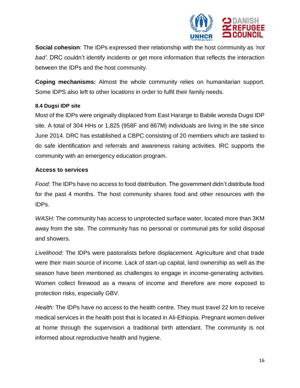

**Social cohesion**: The IDPs expressed their relationship with the host community as *'not bad'*. DRC couldn't identify incidents or get more information that reflects the interaction between the IDPs and the host community.

**Coping mechanisms:** Almost the whole community relies on humanitarian support. Some IDPS also left to other locations in order to fulfil their family needs.

# <span id="page-15-0"></span>**8.4 Dugsi IDP site**

Most of the IDPs were originally displaced from East Hararge to Babile woreda Dugsi IDP site. A total of 304 HHs or 1,825 (958F and 867M) individuals are living in the site since June 2014. DRC has established a CBPC consisting of 20 members which are tasked to do safe identification and referrals and awareness raising activities. IRC supports the community with an emergency education program.

# **Access to services**

*Food:* The IDPs have no access to food distribution. The government didn't distribute food for the past 4 months. The host community shares food and other resources with the IDPs.

*WASH:* The community has access to unprotected surface water, located more than 3KM away from the site. The community has no personal or communal pits for solid disposal and showers.

*Livelihood:* The IDPs were pastoralists before displacement. Agriculture and chat trade were their main source of income. Lack of start-up capital, land ownership as well as the season have been mentioned as challenges to engage in income-generating activities. Women collect firewood as a means of income and therefore are more exposed to protection risks, especially GBV.

*Health:* The IDPs have no access to the health centre. They must travel 22 km to receive medical services in the health post that is located in Ali-Ethiopia. Pregnant women deliver at home through the supervision a traditional birth attendant. The community is not informed about reproductive health and hygiene.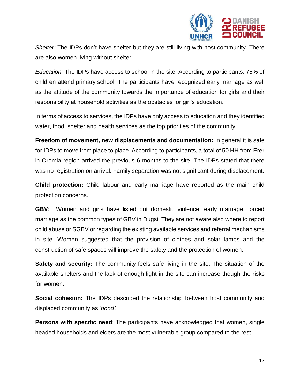

*Shelter:* The IDPs don't have shelter but they are still living with host community. There are also women living without shelter.

*Education:* The IDPs have access to school in the site. According to participants, 75% of children attend primary school. The participants have recognized early marriage as well as the attitude of the community towards the importance of education for girls and their responsibility at household activities as the obstacles for girl's education.

In terms of access to services, the IDPs have only access to education and they identified water, food, shelter and health services as the top priorities of the community.

**Freedom of movement, new displacements and documentation:** In general it is safe for IDPs to move from place to place. According to participants, a total of 50 HH from Erer in Oromia region arrived the previous 6 months to the site. The IDPs stated that there was no registration on arrival. Family separation was not significant during displacement.

**Child protection:** Child labour and early marriage have reported as the main child protection concerns.

**GBV:** Women and girls have listed out domestic violence, early marriage, forced marriage as the common types of GBV in Dugsi. They are not aware also where to report child abuse or SGBV or regarding the existing available services and referral mechanisms in site. Women suggested that the provision of clothes and solar lamps and the construction of safe spaces will improve the safety and the protection of women.

**Safety and security:** The community feels safe living in the site. The situation of the available shelters and the lack of enough light in the site can increase though the risks for women.

**Social cohesion:** The IDPs described the relationship between host community and displaced community as *'good'.*

**Persons with specific need**: The participants have acknowledged that women, single headed households and elders are the most vulnerable group compared to the rest.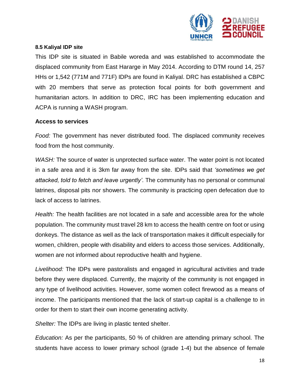

#### <span id="page-17-0"></span>**8.5 Kaliyal IDP site**

This IDP site is situated in Babile woreda and was established to accommodate the displaced community from East Hararge in May 2014. According to DTM round 14, 257 HHs or 1,542 (771M and 771F) IDPs are found in Kaliyal. DRC has established a CBPC with 20 members that serve as protection focal points for both government and humanitarian actors. In addition to DRC, IRC has been implementing education and ACPA is running a WASH program.

#### **Access to services**

*Food:* The government has never distributed food. The displaced community receives food from the host community.

*WASH:* The source of water is unprotected surface water. The water point is not located in a safe area and it is 3km far away from the site. IDPs said that *'sometimes we get attacked, told to fetch and leave urgently'*. The community has no personal or communal latrines, disposal pits nor showers. The community is practicing open defecation due to lack of access to latrines.

*Health:* The health facilities are not located in a safe and accessible area for the whole population. The community must travel 28 km to access the health centre on foot or using donkeys. The distance as well as the lack of transportation makes it difficult especially for women, children, people with disability and elders to access those services. Additionally, women are not informed about reproductive health and hygiene.

*Livelihood:* The IDPs were pastoralists and engaged in agricultural activities and trade before they were displaced. Currently, the majority of the community is not engaged in any type of livelihood activities. However, some women collect firewood as a means of income. The participants mentioned that the lack of start-up capital is a challenge to in order for them to start their own income generating activity.

*Shelter:* The IDPs are living in plastic tented shelter.

*Education:* As per the participants, 50 % of children are attending primary school. The students have access to lower primary school (grade 1-4) but the absence of female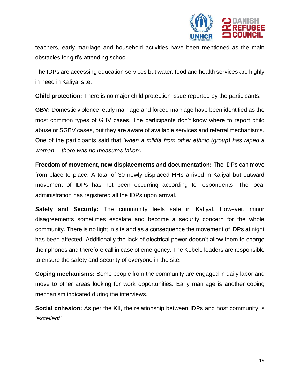

teachers, early marriage and household activities have been mentioned as the main obstacles for girl's attending school.

The IDPs are accessing education services but water, food and health services are highly in need in Kaliyal site.

**Child protection:** There is no major child protection issue reported by the participants.

**GBV:** Domestic violence, early marriage and forced marriage have been identified as the most common types of GBV cases. The participants don't know where to report child abuse or SGBV cases, but they are aware of available services and referral mechanisms. One of the participants said that *'when a militia from other ethnic (group) has raped a woman …there was no measures taken'.* 

**Freedom of movement, new displacements and documentation:** The IDPs can move from place to place. A total of 30 newly displaced HHs arrived in Kaliyal but outward movement of IDPs has not been occurring according to respondents. The local administration has registered all the IDPs upon arrival.

**Safety and Security:** The community feels safe in Kaliyal. However, minor disagreements sometimes escalate and become a security concern for the whole community. There is no light in site and as a consequence the movement of IDPs at night has been affected. Additionally the lack of electrical power doesn't allow them to charge their phones and therefore call in case of emergency. The Kebele leaders are responsible to ensure the safety and security of everyone in the site.

**Coping mechanisms:** Some people from the community are engaged in daily labor and move to other areas looking for work opportunities. Early marriage is another coping mechanism indicated during the interviews.

**Social cohesion:** As per the KII, the relationship between IDPs and host community is *'excellent'*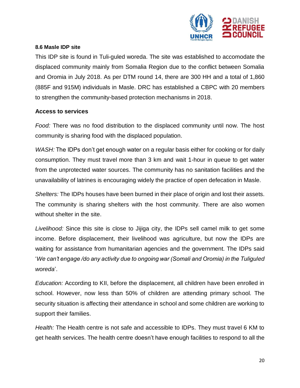

#### <span id="page-19-0"></span>**8.6 Masle IDP site**

This IDP site is found in Tuli-guled woreda. The site was established to accomodate the displaced community mainly from Somalia Region due to the conflict between Somalia and Oromia in July 2018. As per DTM round 14, there are 300 HH and a total of 1,860 (885F and 915M) individuals in Masle. DRC has established a CBPC with 20 members to strengthen the community-based protection mechanisms in 2018.

#### **Access to services**

*Food:* There was no food distribution to the displaced community until now. The host community is sharing food with the displaced population.

*WASH:* The IDPs don't get enough water on a regular basis either for cooking or for daily consumption. They must travel more than 3 km and wait 1-hour in queue to get water from the unprotected water sources. The community has no sanitation facilities and the unavailability of latrines is encouraging widely the practice of open defecation in Masle.

*Shelters:* The IDPs houses have been burned in their place of origin and lost their assets. The community is sharing shelters with the host community. There are also women without shelter in the site.

*Livelihood:* Since this site is close to Jijiga city, the IDPs sell camel milk to get some income. Before displacement, their livelihood was agriculture, but now the IDPs are waiting for assistance from humanitarian agencies and the government. The IDPs said '*We can't engage /do any activity due to ongoing war (Somali and Oromia) in the Tuliguled woreda*'.

*Education:* According to KII, before the displacement, all children have been enrolled in school. However, now less than 50% of children are attending primary school. The security situation is affecting their attendance in school and some children are working to support their families.

*Health:* The Health centre is not safe and accessible to IDPs. They must travel 6 KM to get health services. The health centre doesn't have enough facilities to respond to all the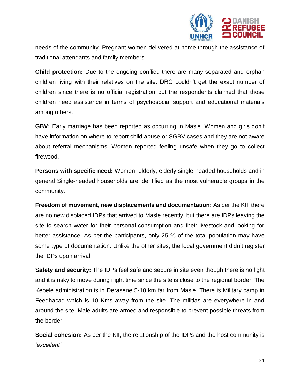

needs of the community. Pregnant women delivered at home through the assistance of traditional attendants and family members.

**Child protection:** Due to the ongoing conflict, there are many separated and orphan children living with their relatives on the site. DRC couldn't get the exact number of children since there is no official registration but the respondents claimed that those children need assistance in terms of psychosocial support and educational materials among others.

**GBV:** Early marriage has been reported as occurring in Masle. Women and girls don't have information on where to report child abuse or SGBV cases and they are not aware about referral mechanisms. Women reported feeling unsafe when they go to collect firewood.

**Persons with specific need:** Women, elderly, elderly single-headed households and in general Single-headed households are identified as the most vulnerable groups in the community.

**Freedom of movement, new displacements and documentation:** As per the KII, there are no new displaced IDPs that arrived to Masle recently, but there are IDPs leaving the site to search water for their personal consumption and their livestock and looking for better assistance. As per the participants, only 25 % of the total population may have some type of documentation. Unlike the other sites, the local government didn't register the IDPs upon arrival.

**Safety and security:** The IDPs feel safe and secure in site even though there is no light and it is risky to move during night time since the site is close to the regional border. The Kebele administration is in Derasene 5-10 km far from Masle. There is Military camp in Feedhacad which is 10 Kms away from the site. The militias are everywhere in and around the site. Male adults are armed and responsible to prevent possible threats from the border.

**Social cohesion:** As per the KII, the relationship of the IDPs and the host community is *'excellent'*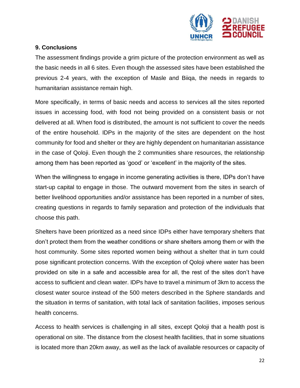

# <span id="page-21-0"></span>**9. Conclusions**

The assessment findings provide a grim picture of the protection environment as well as the basic needs in all 6 sites. Even though the assessed sites have been established the previous 2-4 years, with the exception of Masle and Biiqa, the needs in regards to humanitarian assistance remain high.

More specifically, in terms of basic needs and access to services all the sites reported issues in accessing food, with food not being provided on a consistent basis or not delivered at all. When food is distributed, the amount is not sufficient to cover the needs of the entire household. IDPs in the majority of the sites are dependent on the host community for food and shelter or they are highly dependent on humanitarian assistance in the case of Qoloji. Even though the 2 communities share resources, the relationship among them has been reported as 'good' or 'excellent' in the majority of the sites.

When the willingness to engage in income generating activities is there, IDPs don't have start-up capital to engage in those. The outward movement from the sites in search of better livelihood opportunities and/or assistance has been reported in a number of sites, creating questions in regards to family separation and protection of the individuals that choose this path.

Shelters have been prioritized as a need since IDPs either have temporary shelters that don't protect them from the weather conditions or share shelters among them or with the host community. Some sites reported women being without a shelter that in turn could pose significant protection concerns. With the exception of Qoloji where water has been provided on site in a safe and accessible area for all, the rest of the sites don't have access to sufficient and clean water. IDPs have to travel a minimum of 3km to access the closest water source instead of the 500 meters described in the Sphere standards and the situation in terms of sanitation, with total lack of sanitation facilities, imposes serious health concerns.

Access to health services is challenging in all sites, except Qoloji that a health post is operational on site. The distance from the closest health facilities, that in some situations is located more than 20km away, as well as the lack of available resources or capacity of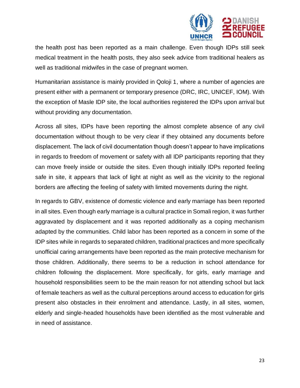

the health post has been reported as a main challenge. Even though IDPs still seek medical treatment in the health posts, they also seek advice from traditional healers as well as traditional midwifes in the case of pregnant women.

Humanitarian assistance is mainly provided in Qoloji 1, where a number of agencies are present either with a permanent or temporary presence (DRC, IRC, UNICEF, IOM). With the exception of Masle IDP site, the local authorities registered the IDPs upon arrival but without providing any documentation.

Across all sites, IDPs have been reporting the almost complete absence of any civil documentation without though to be very clear if they obtained any documents before displacement. The lack of civil documentation though doesn't appear to have implications in regards to freedom of movement or safety with all IDP participants reporting that they can move freely inside or outside the sites. Even though initially IDPs reported feeling safe in site, it appears that lack of light at night as well as the vicinity to the regional borders are affecting the feeling of safety with limited movements during the night.

In regards to GBV, existence of domestic violence and early marriage has been reported in all sites. Even though early marriage is a cultural practice in Somali region, it was further aggravated by displacement and it was reported additionally as a coping mechanism adapted by the communities. Child labor has been reported as a concern in some of the IDP sites while in regards to separated children, traditional practices and more specifically unofficial caring arrangements have been reported as the main protective mechanism for those children. Additionally, there seems to be a reduction in school attendance for children following the displacement. More specifically, for girls, early marriage and household responsibilities seem to be the main reason for not attending school but lack of female teachers as well as the cultural perceptions around access to education for girls present also obstacles in their enrolment and attendance. Lastly, in all sites, women, elderly and single-headed households have been identified as the most vulnerable and in need of assistance.